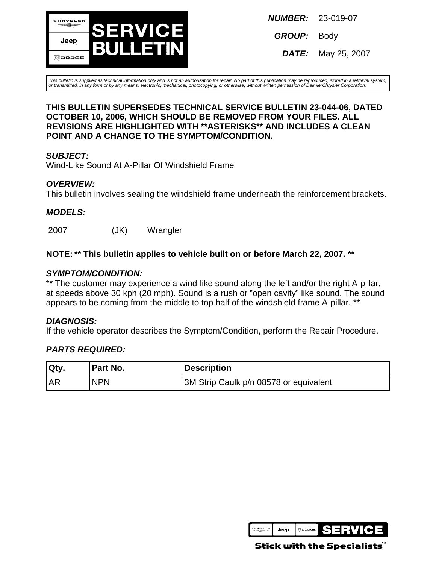

**NUMBER:** 23-019-07

**GROUP:** Body

**DATE:** May 25, 2007

This bulletin is supplied as technical information only and is not an authorization for repair. No part of this publication may be reproduced, stored in a retrieval system, or transmitted, in any form or by any means, electronic, mechanical, photocopying, or otherwise, without written permission of DaimlerChrysler Corporation.

#### **THIS BULLETIN SUPERSEDES TECHNICAL SERVICE BULLETIN 23-044-06, DATED OCTOBER 10, 2006, WHICH SHOULD BE REMOVED FROM YOUR FILES. ALL REVISIONS ARE HIGHLIGHTED WITH \*\*ASTERISKS\*\* AND INCLUDES A CLEAN POINT AND A CHANGE TO THE SYMPTOM/CONDITION.**

## **SUBJECT:**

Wind-Like Sound At A-Pillar Of Windshield Frame

## **OVERVIEW:**

This bulletin involves sealing the windshield frame underneath the reinforcement brackets.

## **MODELS:**

2007 (JK) Wrangler

## **NOTE: \*\* This bulletin applies to vehicle built on or before March 22, 2007. \*\***

#### **SYMPTOM/CONDITION:**

\*\* The customer may experience a wind-like sound along the left and/or the right A-pillar, at speeds above 30 kph (20 mph). Sound is a rush or "open cavity" like sound. The sound appears to be coming from the middle to top half of the windshield frame A-pillar. \*\*

## **DIAGNOSIS:**

If the vehicle operator describes the Symptom/Condition, perform the Repair Procedure.

## **PARTS REQUIRED:**

| Qty. | Part No.   | <b>Description</b>                     |
|------|------------|----------------------------------------|
| l AR | <b>NPN</b> | 3M Strip Caulk p/n 08578 or equivalent |



Stick with the Specialists ${}^{{\mathsf{\tiny M}}}$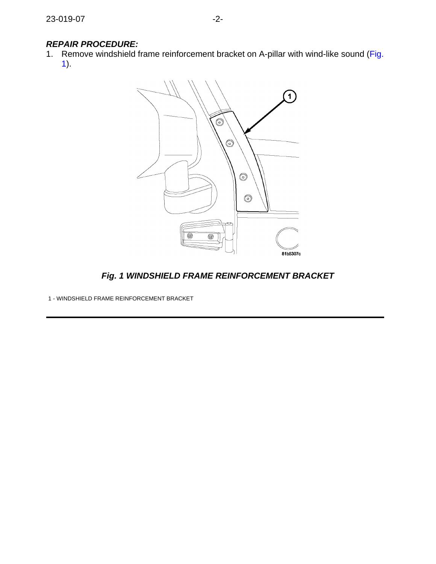## **REPAIR PROCEDURE:**

<span id="page-1-0"></span>1. Remove windshield frame reinforcement bracket on A-pillar with wind-like sound [\(Fig.](#page-1-0) [1](#page-1-0)).



**Fig. 1 WINDSHIELD FRAME REINFORCEMENT BRACKET**

1 - WINDSHIELD FRAME REINFORCEMENT BRACKET